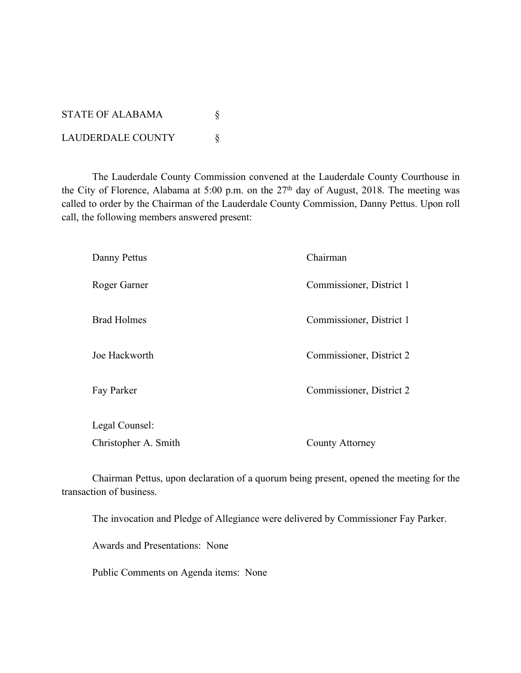STATE OF ALABAMA  $\S$ LAUDERDALE COUNTY \

The Lauderdale County Commission convened at the Lauderdale County Courthouse in the City of Florence, Alabama at 5:00 p.m. on the 27<sup>th</sup> day of August, 2018. The meeting was called to order by the Chairman of the Lauderdale County Commission, Danny Pettus. Upon roll call, the following members answered present:

| Danny Pettus         | Chairman                 |
|----------------------|--------------------------|
| Roger Garner         | Commissioner, District 1 |
| <b>Brad Holmes</b>   | Commissioner, District 1 |
| Joe Hackworth        | Commissioner, District 2 |
| Fay Parker           | Commissioner, District 2 |
| Legal Counsel:       |                          |
| Christopher A. Smith | County Attorney          |

Chairman Pettus, upon declaration of a quorum being present, opened the meeting for the transaction of business.

The invocation and Pledge of Allegiance were delivered by Commissioner Fay Parker.

Awards and Presentations: None

Public Comments on Agenda items: None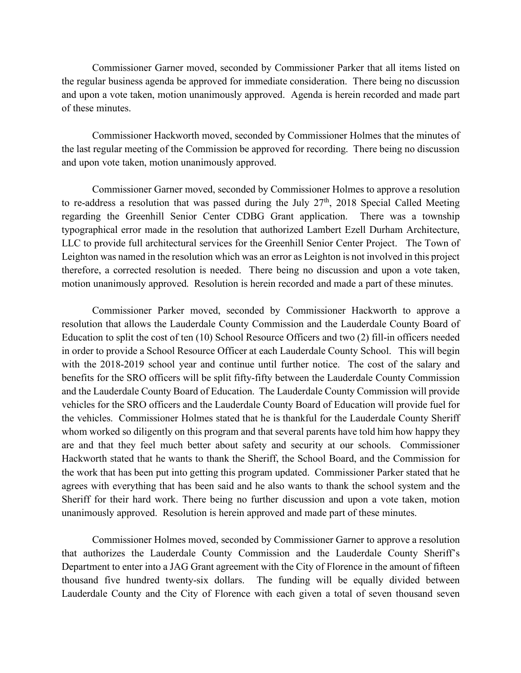Commissioner Garner moved, seconded by Commissioner Parker that all items listed on the regular business agenda be approved for immediate consideration. There being no discussion and upon a vote taken, motion unanimously approved. Agenda is herein recorded and made part of these minutes.

Commissioner Hackworth moved, seconded by Commissioner Holmes that the minutes of the last regular meeting of the Commission be approved for recording. There being no discussion and upon vote taken, motion unanimously approved.

Commissioner Garner moved, seconded by Commissioner Holmes to approve a resolution to re-address a resolution that was passed during the July  $27<sup>th</sup>$ , 2018 Special Called Meeting regarding the Greenhill Senior Center CDBG Grant application. There was a township typographical error made in the resolution that authorized Lambert Ezell Durham Architecture, LLC to provide full architectural services for the Greenhill Senior Center Project. The Town of Leighton was named in the resolution which was an error as Leighton is not involved in this project therefore, a corrected resolution is needed. There being no discussion and upon a vote taken, motion unanimously approved. Resolution is herein recorded and made a part of these minutes.

Commissioner Parker moved, seconded by Commissioner Hackworth to approve a resolution that allows the Lauderdale County Commission and the Lauderdale County Board of Education to split the cost of ten (10) School Resource Officers and two (2) fill-in officers needed in order to provide a School Resource Officer at each Lauderdale County School. This will begin with the 2018-2019 school year and continue until further notice. The cost of the salary and benefits for the SRO officers will be split fifty-fifty between the Lauderdale County Commission and the Lauderdale County Board of Education. The Lauderdale County Commission will provide vehicles for the SRO officers and the Lauderdale County Board of Education will provide fuel for the vehicles. Commissioner Holmes stated that he is thankful for the Lauderdale County Sheriff whom worked so diligently on this program and that several parents have told him how happy they are and that they feel much better about safety and security at our schools. Commissioner Hackworth stated that he wants to thank the Sheriff, the School Board, and the Commission for the work that has been put into getting this program updated. Commissioner Parker stated that he agrees with everything that has been said and he also wants to thank the school system and the Sheriff for their hard work. There being no further discussion and upon a vote taken, motion unanimously approved. Resolution is herein approved and made part of these minutes.

Commissioner Holmes moved, seconded by Commissioner Garner to approve a resolution that authorizes the Lauderdale County Commission and the Lauderdale County Sheriff's Department to enter into a JAG Grant agreement with the City of Florence in the amount of fifteen thousand five hundred twenty-six dollars. The funding will be equally divided between Lauderdale County and the City of Florence with each given a total of seven thousand seven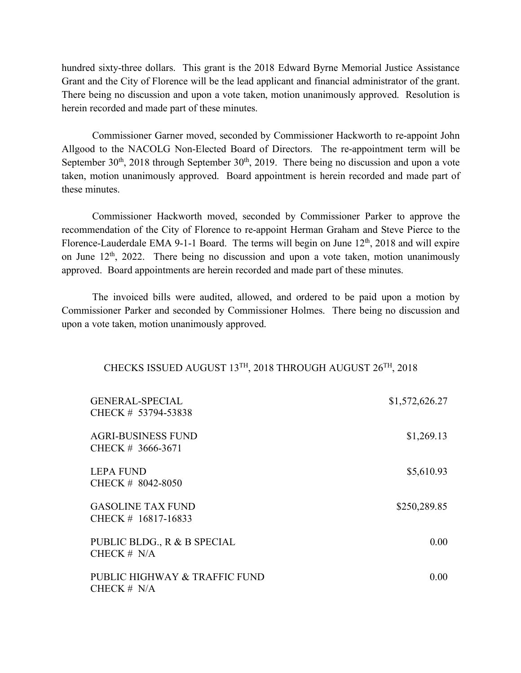hundred sixty-three dollars. This grant is the 2018 Edward Byrne Memorial Justice Assistance Grant and the City of Florence will be the lead applicant and financial administrator of the grant. There being no discussion and upon a vote taken, motion unanimously approved. Resolution is herein recorded and made part of these minutes.

Commissioner Garner moved, seconded by Commissioner Hackworth to re-appoint John Allgood to the NACOLG Non-Elected Board of Directors. The re-appointment term will be September  $30<sup>th</sup>$ ,  $2018$  through September  $30<sup>th</sup>$ ,  $2019$ . There being no discussion and upon a vote taken, motion unanimously approved. Board appointment is herein recorded and made part of these minutes.

Commissioner Hackworth moved, seconded by Commissioner Parker to approve the recommendation of the City of Florence to re-appoint Herman Graham and Steve Pierce to the Florence-Lauderdale EMA 9-1-1 Board. The terms will begin on June  $12<sup>th</sup>$ , 2018 and will expire on June  $12<sup>th</sup>$ , 2022. There being no discussion and upon a vote taken, motion unanimously approved. Board appointments are herein recorded and made part of these minutes.

The invoiced bills were audited, allowed, and ordered to be paid upon a motion by Commissioner Parker and seconded by Commissioner Holmes. There being no discussion and upon a vote taken, motion unanimously approved.

## CHECKS ISSUED AUGUST 13TH, 2018 THROUGH AUGUST 26TH, 2018

| <b>GENERAL-SPECIAL</b><br>CHECK # 53794-53838   | \$1,572,626.27 |
|-------------------------------------------------|----------------|
| <b>AGRI-BUSINESS FUND</b><br>CHECK # 3666-3671  | \$1,269.13     |
| <b>LEPA FUND</b><br>CHECK # 8042-8050           | \$5,610.93     |
| <b>GASOLINE TAX FUND</b><br>CHECK # 16817-16833 | \$250,289.85   |
| PUBLIC BLDG., R & B SPECIAL<br>CHECK $# N/A$    | $0.00^{\circ}$ |
| PUBLIC HIGHWAY & TRAFFIC FUND<br>CHECK $# N/A$  | 0.00           |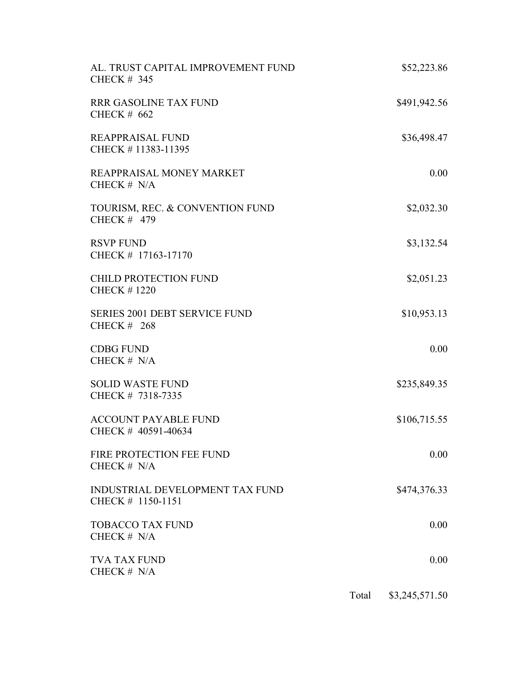| AL. TRUST CAPITAL IMPROVEMENT FUND<br><b>CHECK # 345</b>    | \$52,223.86  |
|-------------------------------------------------------------|--------------|
| <b>RRR GASOLINE TAX FUND</b><br><b>CHECK # 662</b>          | \$491,942.56 |
| <b>REAPPRAISAL FUND</b><br>CHECK #11383-11395               | \$36,498.47  |
| REAPPRAISAL MONEY MARKET<br>CHECK $# N/A$                   | 0.00         |
| TOURISM, REC. & CONVENTION FUND<br>CHECK $#$ 479            | \$2,032.30   |
| <b>RSVP FUND</b><br>CHECK # 17163-17170                     | \$3,132.54   |
| <b>CHILD PROTECTION FUND</b><br><b>CHECK #1220</b>          | \$2,051.23   |
| <b>SERIES 2001 DEBT SERVICE FUND</b><br><b>CHECK # 268</b>  | \$10,953.13  |
| <b>CDBG FUND</b><br>CHECK # N/A                             | 0.00         |
| <b>SOLID WASTE FUND</b><br>CHECK # 7318-7335                | \$235,849.35 |
| <b>ACCOUNT PAYABLE FUND</b><br>CHECK # 40591-40634          | \$106,715.55 |
| FIRE PROTECTION FEE FUND<br>CHECK $# N/A$                   | 0.00         |
| <b>INDUSTRIAL DEVELOPMENT TAX FUND</b><br>CHECK # 1150-1151 | \$474,376.33 |
| <b>TOBACCO TAX FUND</b><br>CHECK $# N/A$                    | 0.00         |
| <b>TVA TAX FUND</b><br>CHECK $# N/A$                        | 0.00         |
|                                                             |              |

Total \$3,245,571.50